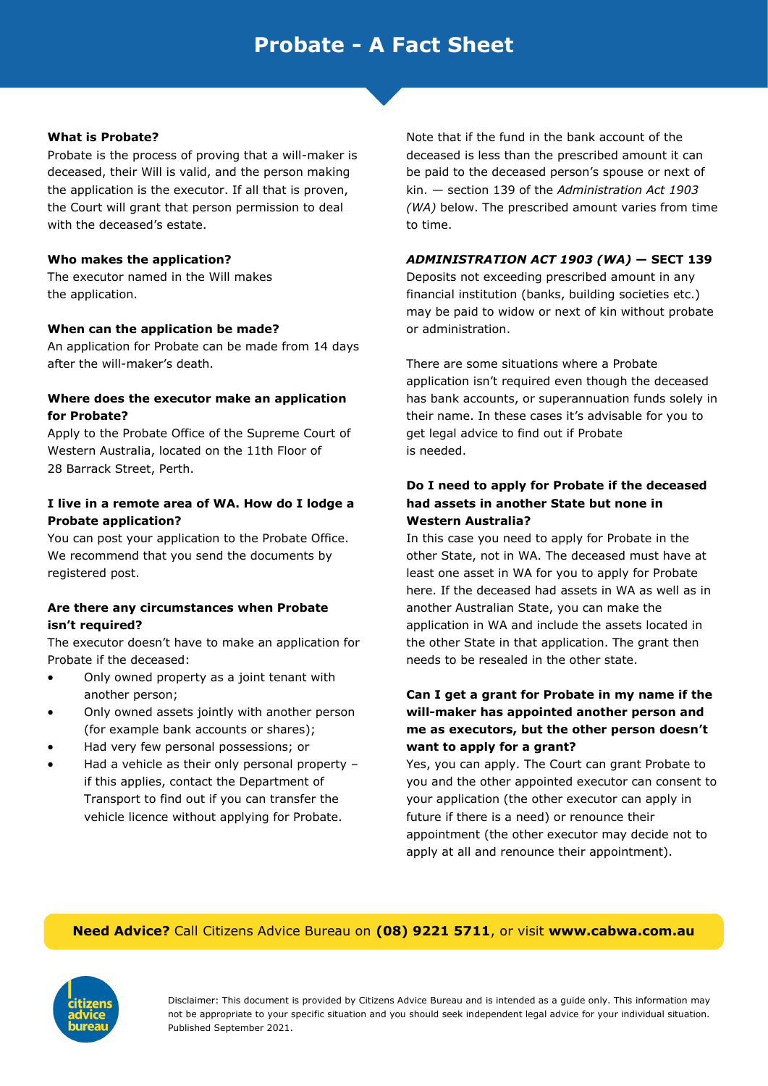# **Probate - A Fact Sheet**

#### **What is Probate?**

Probate is the process of proving that a will-maker is deceased, their Will is valid, and the person making the application is the executor. If all that is proven, the Court will grant that person permission to deal with the deceased's estate.

#### **Who makes the application?**

The executor named in the Will makes the application.

#### **When can the application be made?**

An application for Probate can be made from 14 days after the will-maker's death.

#### **Where does the executor make an application for Probate?**

Apply to the Probate Office of the Supreme Court of Western Australia, located on the 11th Floor of 28 Barrack Street, Perth.

#### **I live in a remote area of WA. How do I lodge a Probate application?**

You can post your application to the Probate Office. We recommend that you send the documents by registered post.

#### **Are there any circumstances when Probate isn't required?**

The executor doesn't have to make an application for Probate if the deceased:

- Only owned property as a joint tenant with another person;
- Only owned assets jointly with another person (for example bank accounts or shares);
- Had very few personal possessions; or
- Had a vehicle as their only personal property if this applies, contact the Department of Transport to find out if you can transfer the vehicle licence without applying for Probate.

Note that if the fund in the bank account of the deceased is less than the prescribed amount it can be paid to the deceased person's spouse or next of kin. — section 139 of the *Administration Act 1903 (WA)* below. The prescribed amount varies from time to time.

#### *ADMINISTRATION ACT 1903 (WA)* **— SECT 139**

Deposits not exceeding prescribed amount in any financial institution (banks, building societies etc.) may be paid to widow or next of kin without probate or administration.

There are some situations where a Probate application isn't required even though the deceased has bank accounts, or superannuation funds solely in their name. In these cases it's advisable for you to get legal advice to find out if Probate is needed.

## **Do I need to apply for Probate if the deceased had assets in another State but none in Western Australia?**

In this case you need to apply for Probate in the other State, not in WA. The deceased must have at least one asset in WA for you to apply for Probate here. If the deceased had assets in WA as well as in another Australian State, you can make the application in WA and include the assets located in the other State in that application. The grant then needs to be resealed in the other state.

### **Can I get a grant for Probate in my name if the will-maker has appointed another person and me as executors, but the other person doesn't want to apply for a grant?**

Yes, you can apply. The Court can grant Probate to you and the other appointed executor can consent to your application (the other executor can apply in future if there is a need) or renounce their appointment (the other executor may decide not to apply at all and renounce their appointment).

#### **Need Advice?** Call Citizens Advice Bureau on **(08) 9221 5711**, or visit **www.cabwa.com.au**



Disclaimer: This document is provided by Citizens Advice Bureau and is intended as a guide only. This information may not be appropriate to your specific situation and you should seek independent legal advice for your individual situation. Published September 2021.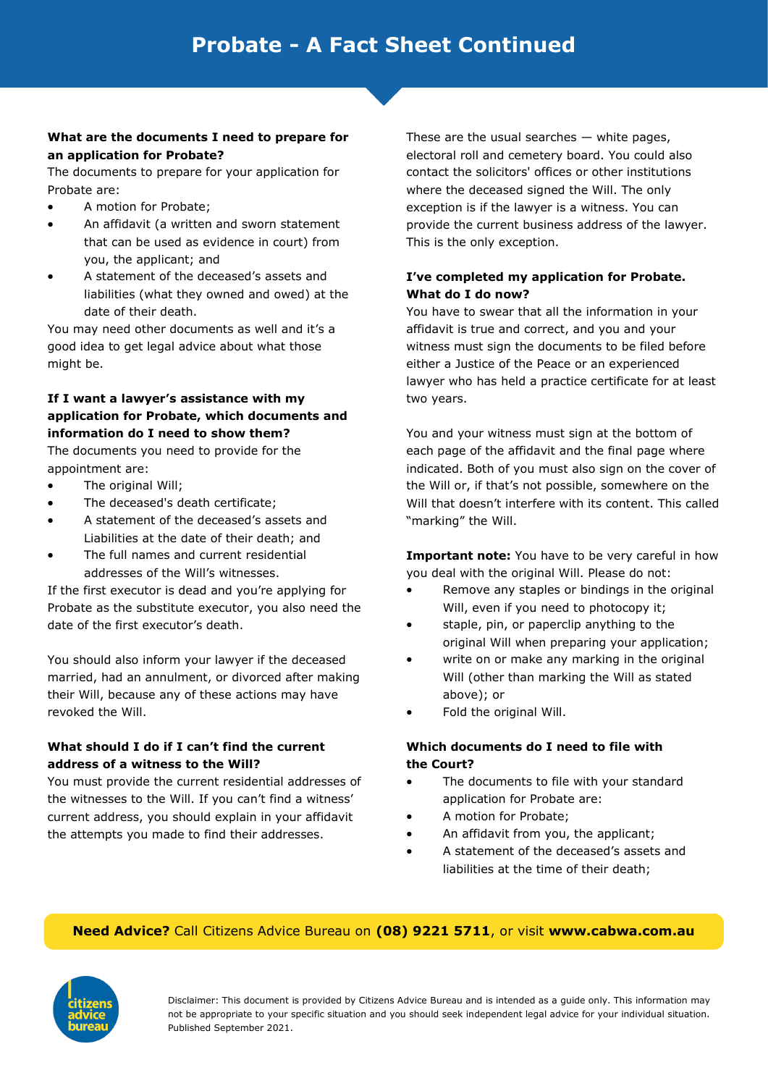#### **What are the documents I need to prepare for an application for Probate?**

The documents to prepare for your application for Probate are:

- A motion for Probate;
- An affidavit (a written and sworn statement that can be used as evidence in court) from you, the applicant; and
- A statement of the deceased's assets and liabilities (what they owned and owed) at the date of their death.

You may need other documents as well and it's a good idea to get legal advice about what those might be.

# **If I want a lawyer's assistance with my application for Probate, which documents and information do I need to show them?**

The documents you need to provide for the appointment are:

- The original Will:
- The deceased's death certificate;
- A statement of the deceased's assets and Liabilities at the date of their death; and
- The full names and current residential addresses of the Will's witnesses.

If the first executor is dead and you're applying for Probate as the substitute executor, you also need the date of the first executor's death.

You should also inform your lawyer if the deceased married, had an annulment, or divorced after making their Will, because any of these actions may have revoked the Will.

## **What should I do if I can't find the current address of a witness to the Will?**

You must provide the current residential addresses of the witnesses to the Will. If you can't find a witness' current address, you should explain in your affidavit the attempts you made to find their addresses.

These are the usual searches  $-$  white pages, electoral roll and cemetery board. You could also contact the solicitors' offices or other institutions where the deceased signed the Will. The only exception is if the lawyer is a witness. You can provide the current business address of the lawyer. This is the only exception.

## **I've completed my application for Probate. What do I do now?**

You have to swear that all the information in your affidavit is true and correct, and you and your witness must sign the documents to be filed before either a Justice of the Peace or an experienced lawyer who has held a practice certificate for at least two years.

You and your witness must sign at the bottom of each page of the affidavit and the final page where indicated. Both of you must also sign on the cover of the Will or, if that's not possible, somewhere on the Will that doesn't interfere with its content. This called "marking" the Will.

**Important note:** You have to be very careful in how you deal with the original Will. Please do not:

- Remove any staples or bindings in the original Will, even if you need to photocopy it;
- staple, pin, or paperclip anything to the original Will when preparing your application;
- write on or make any marking in the original Will (other than marking the Will as stated above); or
- Fold the original Will.

## **Which documents do I need to file with the Court?**

- The documents to file with your standard application for Probate are:
- A motion for Probate;
- An affidavit from you, the applicant;
- A statement of the deceased's assets and liabilities at the time of their death;

## **Need Advice?** Call Citizens Advice Bureau on **(08) 9221 5711**, or visit **www.cabwa.com.au**



Disclaimer: This document is provided by Citizens Advice Bureau and is intended as a guide only. This information may not be appropriate to your specific situation and you should seek independent legal advice for your individual situation. Published September 2021.